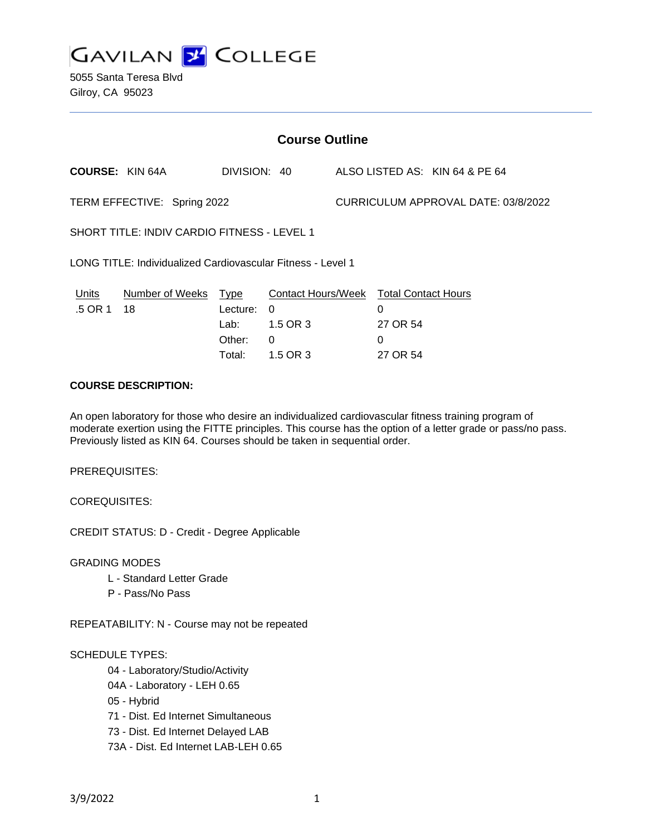

5055 Santa Teresa Blvd Gilroy, CA 95023

| <b>Course Outline</b>                                       |                            |                                      |                                                                    |                                     |                                                                     |  |
|-------------------------------------------------------------|----------------------------|--------------------------------------|--------------------------------------------------------------------|-------------------------------------|---------------------------------------------------------------------|--|
| <b>COURSE: KIN 64A</b>                                      |                            | DIVISION: 40                         |                                                                    |                                     | ALSO LISTED AS: KIN 64 & PE 64                                      |  |
| TERM EFFECTIVE: Spring 2022                                 |                            |                                      |                                                                    | CURRICULUM APPROVAL DATE: 03/8/2022 |                                                                     |  |
| SHORT TITLE: INDIV CARDIO FITNESS - LEVEL 1                 |                            |                                      |                                                                    |                                     |                                                                     |  |
| LONG TITLE: Individualized Cardiovascular Fitness - Level 1 |                            |                                      |                                                                    |                                     |                                                                     |  |
| Units<br>.5 OR 1                                            | Number of Weeks Type<br>18 | Lecture:<br>Lab:<br>Other:<br>Total: | Contact Hours/Week<br>$\Omega$<br>1.5 OR 3<br>$\Omega$<br>1.5 OR 3 |                                     | <b>Total Contact Hours</b><br>0<br>27 OR 54<br>$\Omega$<br>27 OR 54 |  |
| $A A \cup B A E B B B A A B B B B A B$                      |                            |                                      |                                                                    |                                     |                                                                     |  |

#### **COURSE DESCRIPTION:**

An open laboratory for those who desire an individualized cardiovascular fitness training program of moderate exertion using the FITTE principles. This course has the option of a letter grade or pass/no pass. Previously listed as KIN 64. Courses should be taken in sequential order.

PREREQUISITES:

COREQUISITES:

CREDIT STATUS: D - Credit - Degree Applicable

GRADING MODES

- L Standard Letter Grade
- P Pass/No Pass

REPEATABILITY: N - Course may not be repeated

#### SCHEDULE TYPES:

04 - Laboratory/Studio/Activity

- 04A Laboratory LEH 0.65
- 05 Hybrid
- 71 Dist. Ed Internet Simultaneous
- 73 Dist. Ed Internet Delayed LAB
- 73A Dist. Ed Internet LAB-LEH 0.65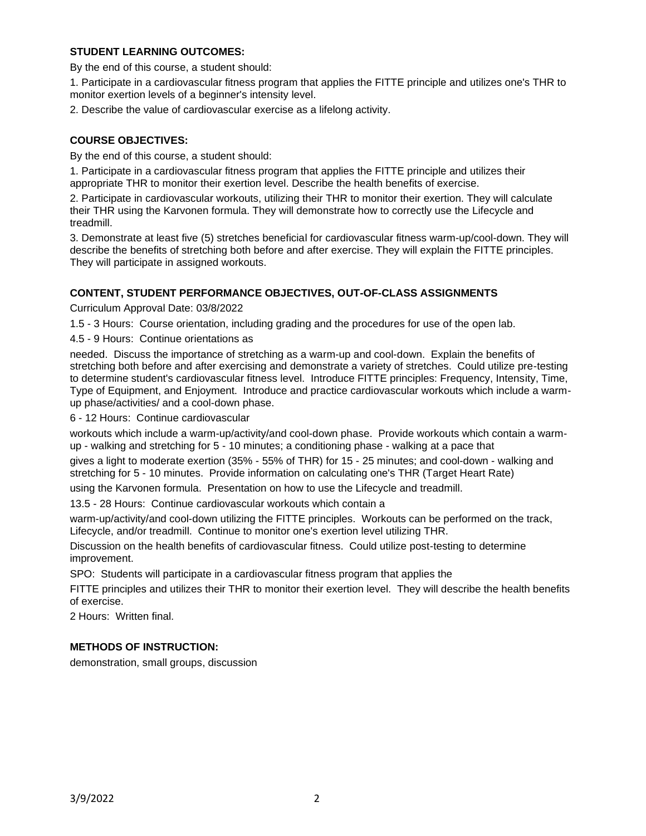## **STUDENT LEARNING OUTCOMES:**

By the end of this course, a student should:

1. Participate in a cardiovascular fitness program that applies the FITTE principle and utilizes one's THR to monitor exertion levels of a beginner's intensity level.

2. Describe the value of cardiovascular exercise as a lifelong activity.

# **COURSE OBJECTIVES:**

By the end of this course, a student should:

1. Participate in a cardiovascular fitness program that applies the FITTE principle and utilizes their appropriate THR to monitor their exertion level. Describe the health benefits of exercise.

2. Participate in cardiovascular workouts, utilizing their THR to monitor their exertion. They will calculate their THR using the Karvonen formula. They will demonstrate how to correctly use the Lifecycle and treadmill.

3. Demonstrate at least five (5) stretches beneficial for cardiovascular fitness warm-up/cool-down. They will describe the benefits of stretching both before and after exercise. They will explain the FITTE principles. They will participate in assigned workouts.

## **CONTENT, STUDENT PERFORMANCE OBJECTIVES, OUT-OF-CLASS ASSIGNMENTS**

Curriculum Approval Date: 03/8/2022

1.5 - 3 Hours: Course orientation, including grading and the procedures for use of the open lab.

4.5 - 9 Hours: Continue orientations as

needed. Discuss the importance of stretching as a warm-up and cool-down. Explain the benefits of stretching both before and after exercising and demonstrate a variety of stretches. Could utilize pre-testing to determine student's cardiovascular fitness level. Introduce FITTE principles: Frequency, Intensity, Time, Type of Equipment, and Enjoyment. Introduce and practice cardiovascular workouts which include a warmup phase/activities/ and a cool-down phase.

6 - 12 Hours: Continue cardiovascular

workouts which include a warm-up/activity/and cool-down phase. Provide workouts which contain a warmup - walking and stretching for 5 - 10 minutes; a conditioning phase - walking at a pace that

gives a light to moderate exertion (35% - 55% of THR) for 15 - 25 minutes; and cool-down - walking and stretching for 5 - 10 minutes. Provide information on calculating one's THR (Target Heart Rate)

using the Karvonen formula. Presentation on how to use the Lifecycle and treadmill.

13.5 - 28 Hours: Continue cardiovascular workouts which contain a

warm-up/activity/and cool-down utilizing the FITTE principles. Workouts can be performed on the track, Lifecycle, and/or treadmill. Continue to monitor one's exertion level utilizing THR.

Discussion on the health benefits of cardiovascular fitness. Could utilize post-testing to determine improvement.

SPO: Students will participate in a cardiovascular fitness program that applies the

FITTE principles and utilizes their THR to monitor their exertion level. They will describe the health benefits of exercise.

2 Hours: Written final.

## **METHODS OF INSTRUCTION:**

demonstration, small groups, discussion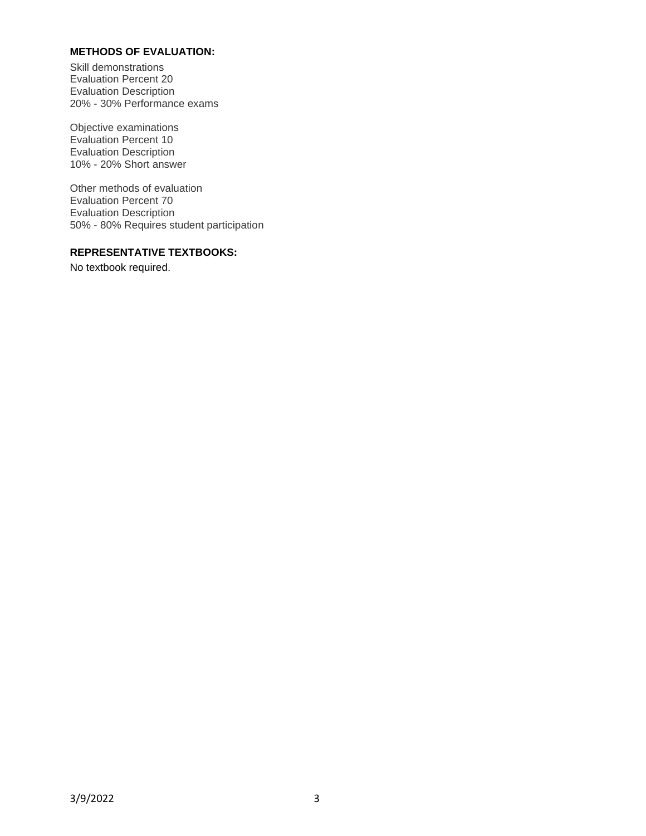## **METHODS OF EVALUATION:**

Skill demonstrations Evaluation Percent 20 Evaluation Description 20% - 30% Performance exams

Objective examinations Evaluation Percent 10 Evaluation Description 10% - 20% Short answer

Other methods of evaluation Evaluation Percent 70 Evaluation Description 50% - 80% Requires student participation

#### **REPRESENTATIVE TEXTBOOKS:**

No textbook required.